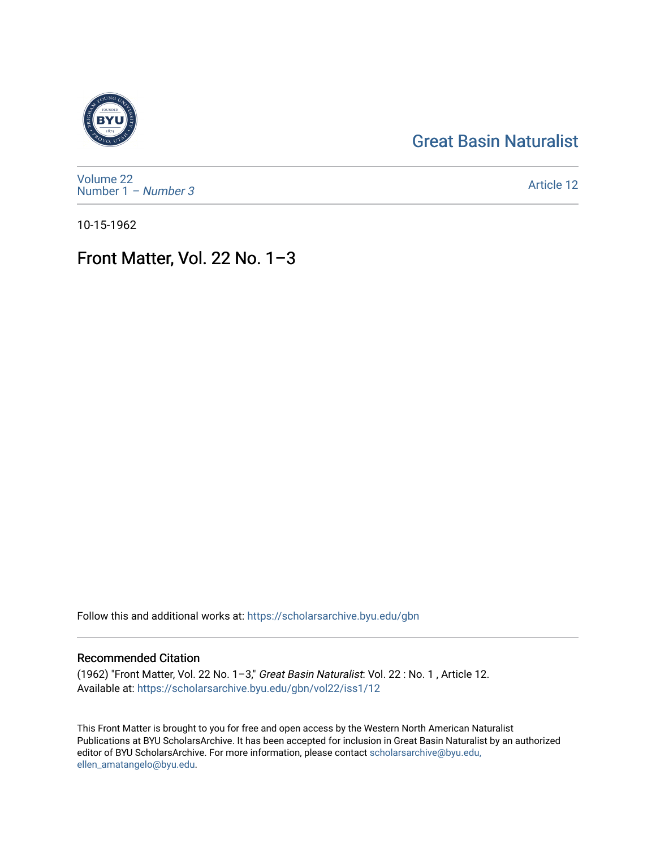## [Great Basin Naturalist](https://scholarsarchive.byu.edu/gbn)



[Volume 22](https://scholarsarchive.byu.edu/gbn/vol22) [Number 1](https://scholarsarchive.byu.edu/gbn/vol22/iss1) – Number 3

[Article 12](https://scholarsarchive.byu.edu/gbn/vol22/iss1/12) 

10-15-1962

# Front Matter, Vol. 22 No. 1–3

Follow this and additional works at: [https://scholarsarchive.byu.edu/gbn](https://scholarsarchive.byu.edu/gbn?utm_source=scholarsarchive.byu.edu%2Fgbn%2Fvol22%2Fiss1%2F12&utm_medium=PDF&utm_campaign=PDFCoverPages) 

### Recommended Citation

(1962) "Front Matter, Vol. 22 No. 1–3," Great Basin Naturalist: Vol. 22 : No. 1 , Article 12. Available at: [https://scholarsarchive.byu.edu/gbn/vol22/iss1/12](https://scholarsarchive.byu.edu/gbn/vol22/iss1/12?utm_source=scholarsarchive.byu.edu%2Fgbn%2Fvol22%2Fiss1%2F12&utm_medium=PDF&utm_campaign=PDFCoverPages) 

This Front Matter is brought to you for free and open access by the Western North American Naturalist Publications at BYU ScholarsArchive. It has been accepted for inclusion in Great Basin Naturalist by an authorized editor of BYU ScholarsArchive. For more information, please contact [scholarsarchive@byu.edu,](mailto:scholarsarchive@byu.edu,%20ellen_amatangelo@byu.edu) [ellen\\_amatangelo@byu.edu](mailto:scholarsarchive@byu.edu,%20ellen_amatangelo@byu.edu).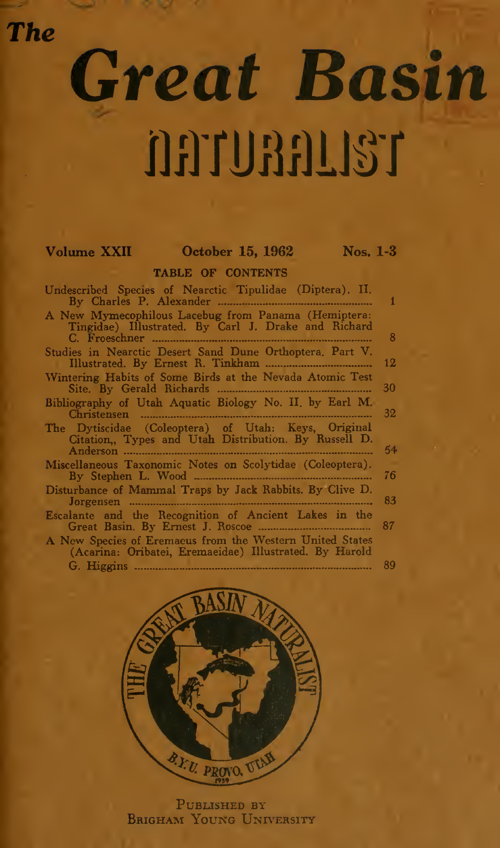The

# Great Basin nnunnust

### Volume XXII October 15, 1962 Nos. 1-3

TABLE OF CONTENTS

| Undescribed Species of Nearctic Tipulidae (Diptera). II.                                                           | 1  |
|--------------------------------------------------------------------------------------------------------------------|----|
| A New Mymecophilous Lacebug from Panama (Hemiptera:<br>Tingidae) Illustrated. By Carl J. Drake and Richard         | 8  |
| Studies in Nearctic Desert Sand Dune Orthoptera, Part V.                                                           | 12 |
| Wintering Habits of Some Birds at the Nevada Atomic Test                                                           | 30 |
| Bibliography of Utah Aquatic Biology No. II, by Earl M.                                                            | 32 |
| The Dytiscidae (Coleoptera) of Utah: Keys, Original<br>Citation, Types and Utah Distribution. By Russell D.        | 54 |
| Miscellaneous Taxonomic Notes on Scolytidae (Coleoptera).                                                          | 76 |
| Disturbance of Mammal Traps by Jack Rabbits. By Clive D.                                                           | 83 |
| Escalante and the Recognition of Ancient Lakes in the                                                              | 87 |
| A New Species of Eremaeus from the Western United States<br>(Acarina: Oribatei, Eremaeidae) Illustrated. By Harold |    |
|                                                                                                                    | 89 |



PUBLISHED BY BRIGHAM YOUNG UNIVERSITY